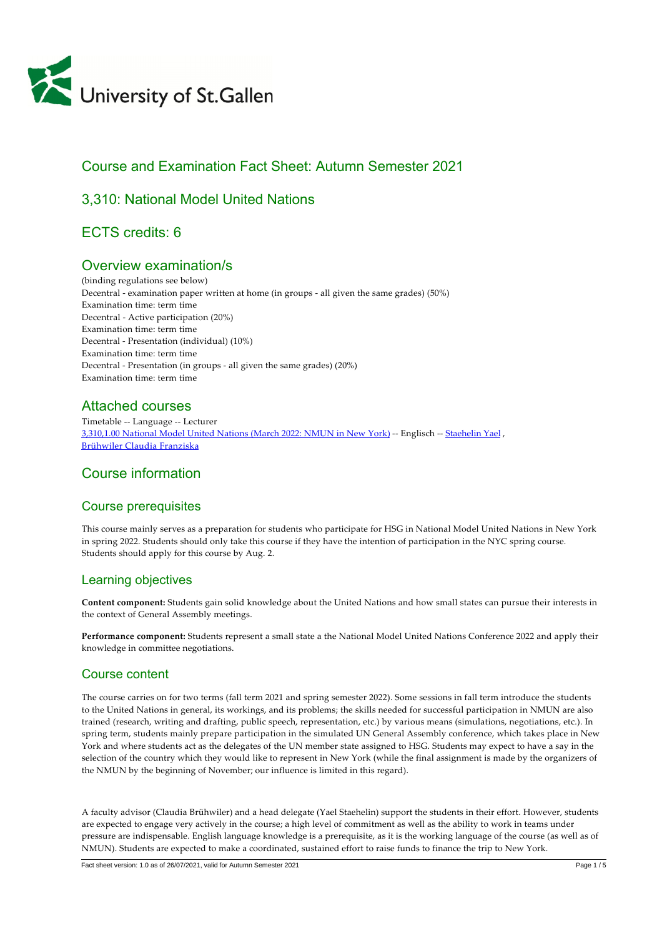

# Course and Examination Fact Sheet: Autumn Semester 2021

# 3,310: National Model United Nations

# ECTS credits: 6

# Overview examination/s

(binding regulations see below) Decentral - examination paper written at home (in groups - all given the same grades) (50%) Examination time: term time Decentral ‑ Active participation (20%) Examination time: term time Decentral ‑ Presentation (individual) (10%) Examination time: term time Decentral ‑ Presentation (in groups ‑ all given the same grades) (20%) Examination time: term time

# Attached courses

Timetable ‑‑ Language ‑‑ Lecturer [3,310,1.00 National Model United Nations \(March 2022: NMUN in New York\)](https://tools.unisg.ch/Url/cs96bw) ‑‑ Englisch ‑‑ [Staehelin Yael](https://www.unisg.ch/Personenverzeichnis/cc06cfae-c86c-4437-afaf-98b6ab48cd07) , [Brühwiler Claudia Franziska](https://www.unisg.ch/Personenverzeichnis/f8dee969-4eb0-4aa5-a4a0-cc959dd00aa9)

# Course information

## Course prerequisites

This course mainly serves as a preparation for students who participate for HSG in National Model United Nations in New York in spring 2022. Students should only take this course if they have the intention of participation in the NYC spring course. Students should apply for this course by Aug. 2.

# Learning objectives

**Content component:** Students gain solid knowledge about the United Nations and how small states can pursue their interests in the context of General Assembly meetings.

**Performance component:** Students represent a small state a the National Model United Nations Conference 2022 and apply their knowledge in committee negotiations.

# Course content

The course carries on for two terms (fall term 2021 and spring semester 2022). Some sessions in fall term introduce the students to the United Nations in general, its workings, and its problems; the skills needed for successful participation in NMUN are also trained (research, writing and drafting, public speech, representation, etc.) by various means (simulations, negotiations, etc.). In spring term, students mainly prepare participation in the simulated UN General Assembly conference, which takes place in New York and where students act as the delegates of the UN member state assigned to HSG. Students may expect to have a say in the selection of the country which they would like to represent in New York (while the final assignment is made by the organizers of the NMUN by the beginning of November; our influence is limited in this regard).

A faculty advisor (Claudia Brühwiler) and a head delegate (Yael Staehelin) support the students in their effort. However, students are expected to engage very actively in the course; a high level of commitment as well as the ability to work in teams under pressure are indispensable. English language knowledge is a prerequisite, as it is the working language of the course (as well as of NMUN). Students are expected to make a coordinated, sustained effort to raise funds to finance the trip to New York.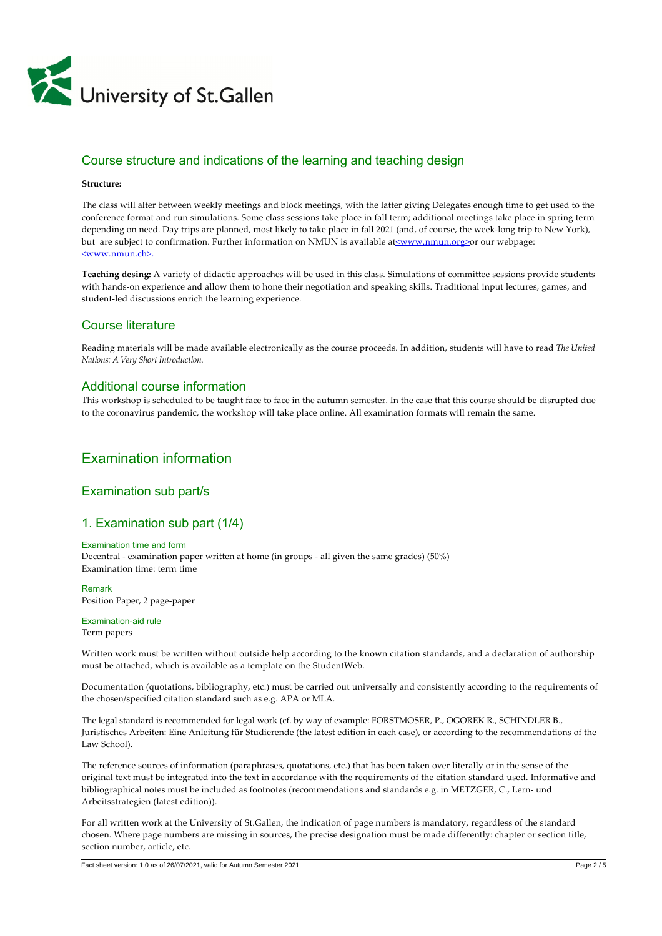

# Course structure and indications of the learning and teaching design

#### **Structure:**

The class will alter between weekly meetings and block meetings, with the latter giving Delegates enough time to get used to the conference format and run simulations. Some class sessions take place in fall term; additional meetings take place in spring term depending on need. Day trips are planned, most likely to take place in fall 2021 (and, of course, the week-long trip to New York), but are subject to confirmation. Further information on NMUN is available at[<www.nmun.org>](http://www.nmun.org/)or our webpage: [<www.nmun.ch>.](http://www.nmun.ch/)

**Teaching desing:** A variety of didactic approaches will be used in this class. Simulations of committee sessions provide students with hands‑on experience and allow them to hone their negotiation and speaking skills. Traditional input lectures, games, and student-led discussions enrich the learning experience.

### Course literature

Reading materials will be made available electronically as the course proceeds. In addition, students will have to read *The United Nations: A Very Short Introduction.*

#### Additional course information

This workshop is scheduled to be taught face to face in the autumn semester. In the case that this course should be disrupted due to the coronavirus pandemic, the workshop will take place online. All examination formats will remain the same.

# Examination information

## Examination sub part/s

## 1. Examination sub part (1/4)

#### Examination time and form

Decentral - examination paper written at home (in groups - all given the same grades) (50%) Examination time: term time

Remark Position Paper, 2 page-paper

Examination-aid rule Term papers

Written work must be written without outside help according to the known citation standards, and a declaration of authorship must be attached, which is available as a template on the StudentWeb.

Documentation (quotations, bibliography, etc.) must be carried out universally and consistently according to the requirements of the chosen/specified citation standard such as e.g. APA or MLA.

The legal standard is recommended for legal work (cf. by way of example: FORSTMOSER, P., OGOREK R., SCHINDLER B., Juristisches Arbeiten: Eine Anleitung für Studierende (the latest edition in each case), or according to the recommendations of the Law School).

The reference sources of information (paraphrases, quotations, etc.) that has been taken over literally or in the sense of the original text must be integrated into the text in accordance with the requirements of the citation standard used. Informative and bibliographical notes must be included as footnotes (recommendations and standards e.g. in METZGER, C., Lern- und Arbeitsstrategien (latest edition)).

For all written work at the University of St.Gallen, the indication of page numbers is mandatory, regardless of the standard chosen. Where page numbers are missing in sources, the precise designation must be made differently: chapter or section title, section number, article, etc.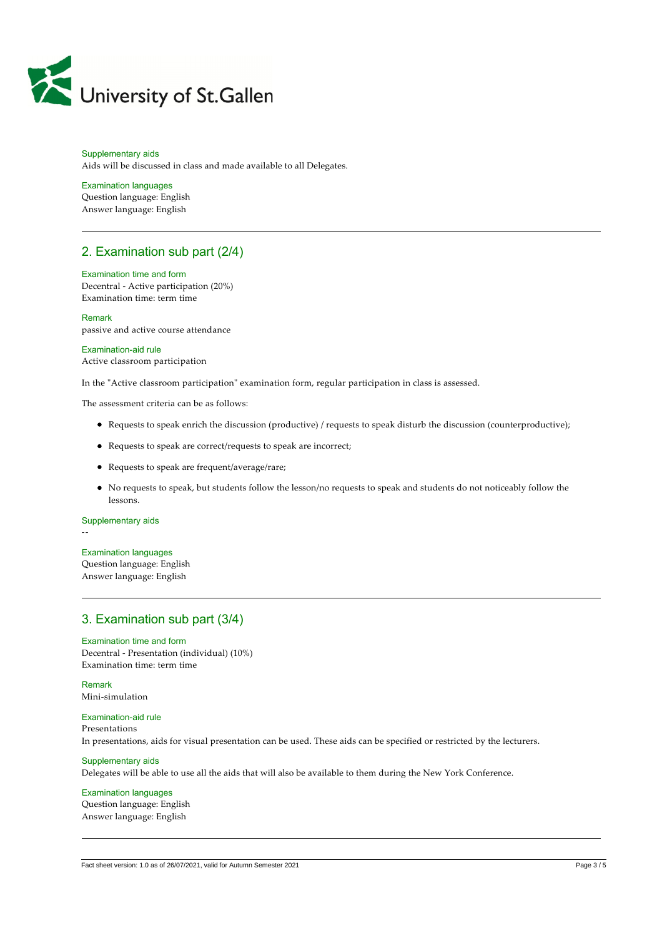

#### Supplementary aids Aids will be discussed in class and made available to all Delegates.

#### Examination languages

Question language: English Answer language: English

# 2. Examination sub part (2/4)

#### Examination time and form

Decentral ‑ Active participation (20%) Examination time: term time

Remark passive and active course attendance

## Examination-aid rule

Active classroom participation

In the "Active classroom participation" examination form, regular participation in class is assessed.

The assessment criteria can be as follows:

- Requests to speak enrich the discussion (productive) / requests to speak disturb the discussion (counterproductive);
- Requests to speak are correct/requests to speak are incorrect;
- Requests to speak are frequent/average/rare;
- No requests to speak, but students follow the lesson/no requests to speak and students do not noticeably follow the lessons.

#### Supplementary aids

‑‑

#### Examination languages

Question language: English Answer language: English

## 3. Examination sub part (3/4)

Examination time and form Decentral ‑ Presentation (individual) (10%) Examination time: term time

#### Remark Mini‑simulation

### Examination-aid rule Presentations In presentations, aids for visual presentation can be used. These aids can be specified or restricted by the lecturers.

## Supplementary aids Delegates will be able to use all the aids that will also be available to them during the New York Conference.

Examination languages Question language: English Answer language: English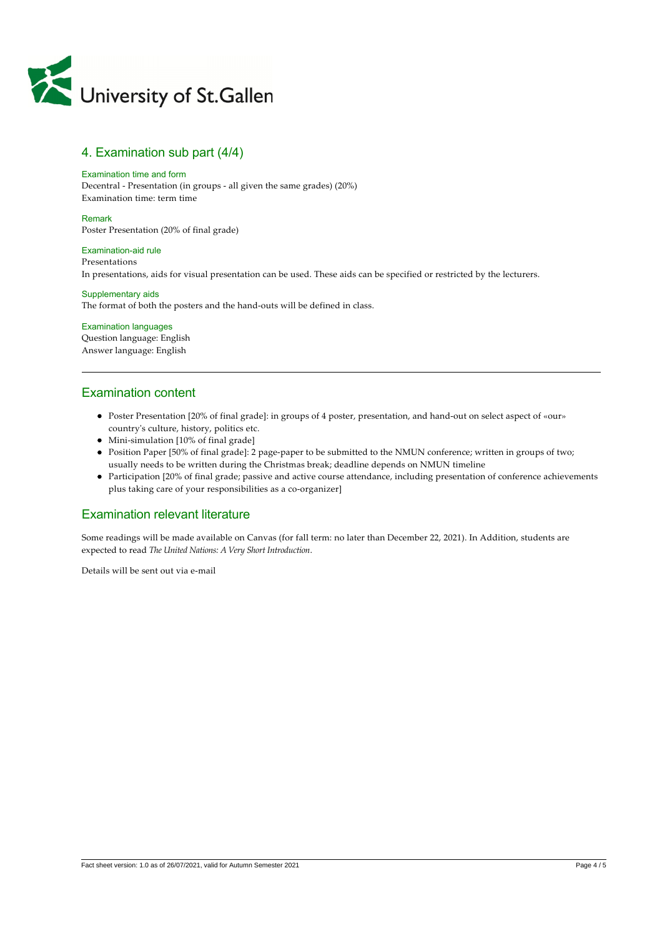

## 4. Examination sub part (4/4)

#### Examination time and form

Decentral ‑ Presentation (in groups ‑ all given the same grades) (20%) Examination time: term time

#### Remark

Poster Presentation (20% of final grade)

### Examination-aid rule

Presentations In presentations, aids for visual presentation can be used. These aids can be specified or restricted by the lecturers.

#### Supplementary aids

The format of both the posters and the hand-outs will be defined in class.

#### Examination languages Question language: English Answer language: English

## Examination content

- Poster Presentation [20% of final grade]: in groups of 4 poster, presentation, and hand-out on select aspect of «our» countryʹs culture, history, politics etc.
- Mini-simulation [10% of final grade]
- Position Paper [50% of final grade]: 2 page‑paper to be submitted to the NMUN conference; written in groups of two; usually needs to be written during the Christmas break; deadline depends on NMUN timeline
- Participation [20% of final grade; passive and active course attendance, including presentation of conference achievements plus taking care of your responsibilities as a co-organizer]

## Examination relevant literature

Some readings will be made available on Canvas (for fall term: no later than December 22, 2021). In Addition, students are expected to read *The United Nations: A Very Short Introduction*.

Details will be sent out via e-mail